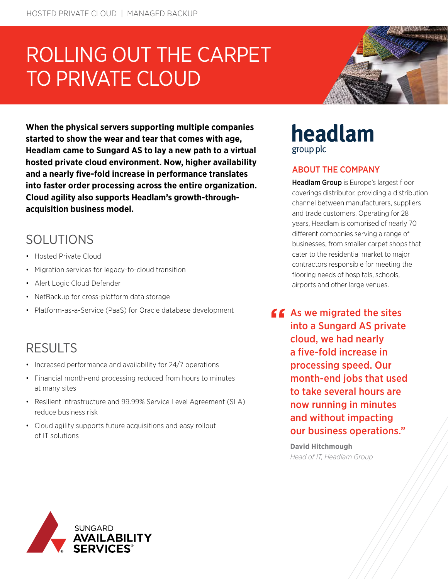# ROLLING OUT THE CARPET TO PRIVATE CLOUD



**When the physical servers supporting multiple companies started to show the wear and tear that comes with age, Headlam came to Sungard AS to lay a new path to a virtual hosted private cloud environment. Now, higher availability and a nearly five-fold increase in performance translates into faster order processing across the entire organization. Cloud agility also supports Headlam's growth-throughacquisition business model.**

# SOLUTIONS

- Hosted Private Cloud
- Migration services for legacy-to-cloud transition
- Alert Logic Cloud Defender
- NetBackup for cross-platform data storage
- Platform-as-a-Service (PaaS) for Oracle database development

# RESULTS

- Increased performance and availability for 24/7 operations
- Financial month-end processing reduced from hours to minutes at many sites
- Resilient infrastructure and 99.99% Service Level Agreement (SLA) reduce business risk
- Cloud agility supports future acquisitions and easy rollout of IT solutions

## headlam group plc

### ABOUT THE COMPANY

[Headlam Group](https://www.headlam.com/) is Europe's largest floor coverings distributor, providing a distribution channel between manufacturers, suppliers and trade customers. Operating for 28 years, Headlam is comprised of nearly 70 different companies serving a range of businesses, from smaller carpet shops that cater to the residential market to major contractors responsible for meeting the flooring needs of hospitals, schools, airports and other large venues.

 $f$  As we migrated the sites into a Sungard AS private cloud, we had nearly a five-fold increase in processing speed. Our month-end jobs that used to take several hours are now running in minutes and without impacting our business operations."

> **David Hitchmough** *Head of IT, Headlam Group*

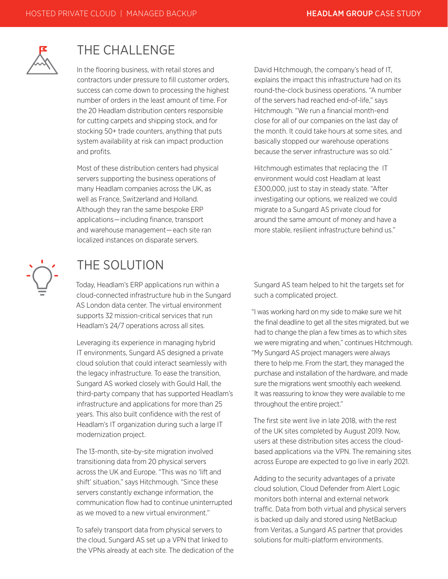

### THE CHALLENGE

In the flooring business, with retail stores and contractors under pressure to fill customer orders, success can come down to processing the highest number of orders in the least amount of time. For the 20 Headlam distribution centers responsible for cutting carpets and shipping stock, and for stocking 50+ trade counters, anything that puts system availability at risk can impact production and profits.

Most of these distribution centers had physical servers supporting the business operations of many Headlam companies across the UK, as well as France, Switzerland and Holland. Although they ran the same bespoke ERP applications—including finance, transport and warehouse management—each site ran localized instances on disparate servers.

David Hitchmough, the company's head of IT, explains the impact this infrastructure had on its round-the-clock business operations. "A number of the servers had reached end-of-life," says Hitchmough. "We run a financial month-end close for all of our companies on the last day of the month. It could take hours at some sites, and basically stopped our warehouse operations because the server infrastructure was so old."

Hitchmough estimates that replacing the IT environment would cost Headlam at least £300,000, just to stay in steady state. "After investigating our options, we realized we could migrate to a Sungard AS private cloud for around the same amount of money and have a more stable, resilient infrastructure behind us."



# THE SOLUTION

Today, Headlam's ERP applications run within a cloud-connected infrastructure hub in the Sungard AS London data center. The virtual environment supports 32 mission-critical services that run Headlam's 24/7 operations across all sites.

Leveraging its experience in managing hybrid IT environments, Sungard AS designed a private cloud solution that could interact seamlessly with the legacy infrastructure. To ease the transition, Sungard AS worked closely with Gould Hall, the third-party company that has supported Headlam's infrastructure and applications for more than 25 years. This also built confidence with the rest of Headlam's IT organization during such a large IT modernization project.

The 13-month, site-by-site migration involved transitioning data from 20 physical servers across the UK and Europe. "This was no 'lift and shift' situation," says Hitchmough. "Since these servers constantly exchange information, the communication flow had to continue uninterrupted as we moved to a new virtual environment."

To safely transport data from physical servers to the cloud, Sungard AS set up a VPN that linked to the VPNs already at each site. The dedication of the Sungard AS team helped to hit the targets set for such a complicated project.

"I was working hard on my side to make sure we hit the final deadline to get all the sites migrated, but we had to change the plan a few times as to which sites we were migrating and when," continues Hitchmough. "My Sungard AS project managers were always there to help me. From the start, they managed the purchase and installation of the hardware, and made sure the migrations went smoothly each weekend. It was reassuring to know they were available to me throughout the entire project."

The first site went live in late 2018, with the rest of the UK sites completed by August 2019. Now, users at these distribution sites access the cloudbased applications via the VPN. The remaining sites across Europe are expected to go live in early 2021.

Adding to the security advantages of a private cloud solution, Cloud Defender from Alert Logic monitors both internal and external network traffic. Data from both virtual and physical servers is backed up daily and stored using NetBackup from Veritas, a Sungard AS partner that provides solutions for multi-platform environments.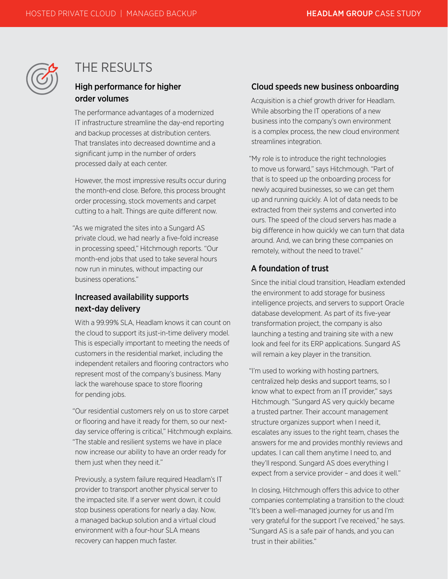

### THE RESULTS

### High performance for higher order volumes

The performance advantages of a modernized IT infrastructure streamline the day-end reporting and backup processes at distribution centers. That translates into decreased downtime and a significant jump in the number of orders processed daily at each center.

However, the most impressive results occur during the month-end close. Before, this process brought order processing, stock movements and carpet cutting to a halt. Things are quite different now.

"As we migrated the sites into a Sungard AS private cloud, we had nearly a five-fold increase in processing speed," Hitchmough reports. "Our month-end jobs that used to take several hours now run in minutes, without impacting our business operations."

### Increased availability supports next-day delivery

With a 99.99% SLA, Headlam knows it can count on the cloud to support its just-in-time delivery model. This is especially important to meeting the needs of customers in the residential market, including the independent retailers and flooring contractors who represent most of the company's business. Many lack the warehouse space to store flooring for pending jobs.

"Our residential customers rely on us to store carpet or flooring and have it ready for them, so our nextday service offering is critical," Hitchmough explains. "The stable and resilient systems we have in place now increase our ability to have an order ready for them just when they need it."

Previously, a system failure required Headlam's IT provider to transport another physical server to the impacted site. If a server went down, it could stop business operations for nearly a day. Now, a managed backup solution and a virtual cloud environment with a four-hour SLA means recovery can happen much faster.

#### Cloud speeds new business onboarding

Acquisition is a chief growth driver for Headlam. While absorbing the IT operations of a new business into the company's own environment is a complex process, the new cloud environment streamlines integration.

"My role is to introduce the right technologies to move us forward," says Hitchmough. "Part of that is to speed up the onboarding process for newly acquired businesses, so we can get them up and running quickly. A lot of data needs to be extracted from their systems and converted into ours. The speed of the cloud servers has made a big difference in how quickly we can turn that data around. And, we can bring these companies on remotely, without the need to travel."

### A foundation of trust

Since the initial cloud transition, Headlam extended the environment to add storage for business intelligence projects, and servers to support Oracle database development. As part of its five-year transformation project, the company is also launching a testing and training site with a new look and feel for its ERP applications. Sungard AS will remain a key player in the transition.

"I'm used to working with hosting partners, centralized help desks and support teams, so I know what to expect from an IT provider," says Hitchmough. "Sungard AS very quickly became a trusted partner. Their account management structure organizes support when I need it, escalates any issues to the right team, chases the answers for me and provides monthly reviews and updates. I can call them anytime I need to, and they'll respond. Sungard AS does everything I expect from a service provider – and does it well."

In closing, Hitchmough offers this advice to other companies contemplating a transition to the cloud: "It's been a well-managed journey for us and I'm very grateful for the support I've received," he says. "Sungard AS is a safe pair of hands, and you can trust in their abilities."